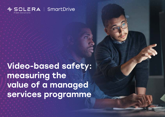

Video-based safety: measuring the value of a managed services programme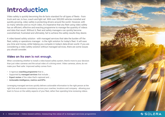# Introduction

Video safety is quickly becoming the de facto standard for all types of fleets - from truck and van, to bus, coach and light rail. With over 500,000 vehicles installed and quickly growing, video safety is protecting drivers around the world. However, with so many vehicles and so much video, it's imperative that any fleet using video safety has an efficient, effective and exacting programme to manage the quantity of videos and data that result. Without it, fleet and safety managers can quickly become overwhelmed, frustrated and ultimately, fail to achieve the safety results they desire.

A video-based safety solution - with managed services that take the burden off the fleet, safety or operations manager - is the right solution for today's fleet. It will save you time and money, while helping you compete in today's data-driven world. If you are considering a video safety solution without managed services, there are some issues you should consider.

### Video on its own is not enough.

When considering whether to install a video-based safety system, there's more to your decision than just video cameras and the actual video of a driving event. Video cameras, alone, do not make your fleet safer. Improved safety comes from:

- A rigorous **coaching programme** that is …
- Supported by **managed services** that include …
- **• Expert review** of the video that's captured and …
- **• Actionable intelligence, metrics and KPIs**

Leveraging managed services quickly delivers actionable information to the right person at the right time and ensures consistency across your coaches, locations and company - allowing your team to focus on the safety aspects of your fleet, rather than spending time reviewing videos.

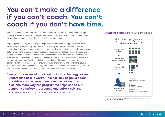# You can't make a difference if you can't coach. You can't coach if you don't have time.

Time is a precious commodity. You can't hope that by simply reducing the number of triggered videos you'll save time and improve your fleet's safety. Also, you can't assume that a reduction in the number of videos generated means your fleet is getting safer.

Triggering video is only the first step in the process. Once a video is triggered, review by an expert analyst is a necessary step to verify and quantify the risk. Who reviews it, how it's reviewed and then what happens to the video are all critical aspects of a successful video-based safety programme. Expert video review requires training, a verifiable and tested process, and sustainable results. You need to ensure the process is unbiased so that all driver behaviours are measured similarly and consistently. You need scoring and prioritisation of riskiest drivers aligned to your company's safety policies. You need an intuitive coaching workflow combined with easy-to-use tools - to ensure continual improvement and bottomline results. A comprehensive managed services programme reduces your overhead by allowing your team to focus on your business and making your drivers safer, not on reviewing video.

"We put ourselves at the forefront of technology so we understand how it works. This not only helps us coach our drivers and ensure open communication, it is also one more way the programme helps shape our company's safety programme and safety culture."

- Eric Nelson, VP, Recruiting and Safety Arnold Tranportation

#### **3 Steps to coach:** It starts with driver skills



*Providing a list of relevant skills can help give a driver a high-level understanding of the skills and behaviours that might need attention.*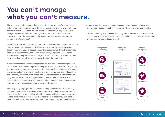## You can't manage what you can't measure.

The scoring and prioritisation of drivers is critical to a successful video-based safety programme. Intuitively, you think a driver is improving. However, with many drivers in multiple locations, how do you know if they're actually safer or just being lucky? Furthermore, with managers busy with other responsibilities, how do you know if they're gaming the system and not reporting accurately on each driver's progress?

In addition to the actual videos, it's important to have continuous data that can be used to measure an individual driver's exposure to risk. By combining event trigger, observation and exposure data, with predictive algorithms that correlate the data to past collisions, your video-based safety programme will provide accurate and timely measurements of your drivers' risk rates. Attention can then be focussed on the subset of drivers who harbour the most risk.

A best-in-class video-based safety programme includes services that provide a robust set of management reports and Key Performance Indicators (KPIs) to help you manage the programme on an on-going basis and highlight areas of strength and opportunities for improvement. Reports focus on both driving and coaching performance, while identifying trends and supporting incentive and recognition programmes. In addition, the reports should be tailored to each level of your organisation - from executive to driver - ensuring that each person has the right information to make decisions that improve performance.

Rounding out your programme should be a comprehensive and robust testing process to ensure that any equipment deployed to your fleet is resilient, stable and reliable. Drivers may not know that their equipment is not working and your internal review may not realise that a camera is out of order; they may simply think that a driver is safer because of less video triggers. System health reports proactively notify you when something needs attention and helps ensure your programme is running 24/7 - no matter where your drivers are located.

A fully functioning managed services programme delivers actionable insights through easy-to-use management reporting and KPIs - critical to understanding whether your investment is paying off.

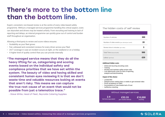# There's more to the bottom line than the bottom line.

Expert, consistent, non-biased review is at the centre of every video-based safety programme. Without a managed services programme handling this critical aspect, costs can skyrocket and drivers may be treated unfairly. From recruiting and training to lack of reporting and delays, an internal programme can quickly grow out of control and burden staff throughout an organisation.

Allowing a third-party to review and score videos ensures:

- Scalability as your fleet grows
- Fair, unbiased and consistent reviews for every driver across your fleet
- 24/7 coverage in case an incident occurs at night, on the weekend or on a holiday
- A higher level of quality control than you can provide internally

"The managed service means that they do all the heavy lifting for us, categorising and scoring events based on the individual safety and compliance priorities that we have set within the system. The beauty of video and having skilled and consistent human eyes reviewing it is that we don't waste time and valuable resources looking at events that aren't risky. This means we can capture the true root cause of an event that would not be possible from just a telematics trace."

- Steve White, Head of Fleet, Reynolds Catering Supplies

#### The hidden costs of self review

| Number of vehicles                             | 300 |
|------------------------------------------------|-----|
| Number of video events (per vehicle/per month) | 20  |
| Review time in minutes (per video)             | 5   |
| Total Time (hours/month)                       | 500 |
| Labour (per hour)                              |     |

#### **Additional hidden costs:**

- Initial and recurring recruiting costs
- Training
- Develop and maintain safety review rules
- Lost opportunity costs for lack of reporting, analysis and benchmarking

#### **Impact of this choice:**

- Limited ROI
- Delayed action waiting days or weeks to get reviewed video
- Driver acceptance of video
- Inconsistency of view breeds lack of trust
- Ineffective coaching

#### Without managed services

**2.9** full-time equivalent **£33.33** per month/vehicle

**£10,000** monthly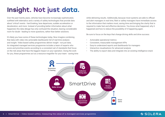# Insight. Not just data.

Over the past twenty years, vehicles have become increasingly sophisticated, outfitted with telematics and a variety of safety technologies that provide data about 'critical' events - hard braking, lane departures, sudden acceleration or deceleration, and more. Instead of providing better information about what happened, this data deluge has only confused the situation, leaving considerable room for doubt - leading to more questions, rather than better solutions.

It's likely you have some of these technologies today. Now imagine combining that data with video into actionable dashboards full of real-time analysis and insight. Video-based safety programmes deliver insight - not just data. An integrated managed services programme includes a team of experts who score and prioritise events according to a consistent set of standards that focus on the risk areas that have the biggest impact on your operation. Doing the work for you, these programmes act as a resource magnifier for your team - saving time while delivering results. Additionally, because most systems are able to offload and alert managers in real time, fleet or safety managers have immediate access to the information that matters most, saving time and bringing the clarity that is required to make fast and effective decisions. You know what happened, why it happened and how to reduce the possibility of it happening again.

Be sure to focus on the keys that change driving skills and drive success:

- Actionable operational metrics
- Consistent, measurable management KPIs
- Easy-to understand reports and dashboards for managers
- Interactive visualisations for advanced analysis
- The ability to export data and integrate into an existing intelligence stack

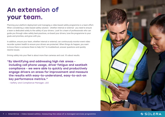# An extension of your team.

Planning your platform deployment and managing a video-based safety programme is a team effort. When considering a video-based safety solution - whether internal or external - you need to ensure a team is dedicated solely to the safety of your drivers. Look for a team of professionals who can guide you through video safety best-practices, on-board your drivers, tune the programme to your goals and priorities, and grow with you.

In addition, ensure your team, whether internal or external, can continuously monitor event video recorder system health to ensure your drivers are protected. When things do happen, you want to know there is someone there to help 24/7 to troubleshoot, answer questions and quickly resolve issues.

Driving safety into your fleet is about more than cameras and cost. It's about results.

"By identifying and addressing high risk areas including cell phone usage, driver fatigue and seatbelt compliance - we were able to quickly and productively engage drivers on areas for improvement and measure the results with easy-to-understand, easy-to-act-on key performance metrics."

- Safety and Compliance Manager, LSO

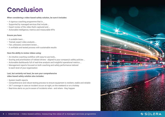# Conclusion

**When considering a video-based safety solution, be sure it includes:**

- A rigorous coaching programme that is …
- Supported by managed services that include …
- Expert review of the video that's captured and …
- Actionable intelligence, metrics and measurable KPIs

#### **Ensure you have:**

- A scalable team …
- Trained, expert video analysts …
- Fair, unbiased, consistent review …
- A verifiable and tested process with sustainable results

#### **Have the ability to review videos using:**

- An intuitive coaching workflow with easy-to-use tools…
- Scoring and prioritisation of riskiest drivers aligned to your company's safety policies …
- Actionable dashboards full of real-time analysis and insightful operational metrics …
- Management reports focused on both coaching and safety performance tailored to each level of your organisation

**Last, but certainly not least, be sure your comprehensive video-based safety solution also includes:**

- System health reports
- Comprehensive and robust testing process to ensure equipment is resilient, stable and reliable
- 24/7 coverage in case an incident occurs at night, on the weekend or on a holiday
- Real-time alerts so you're aware of incidents when and where they happen